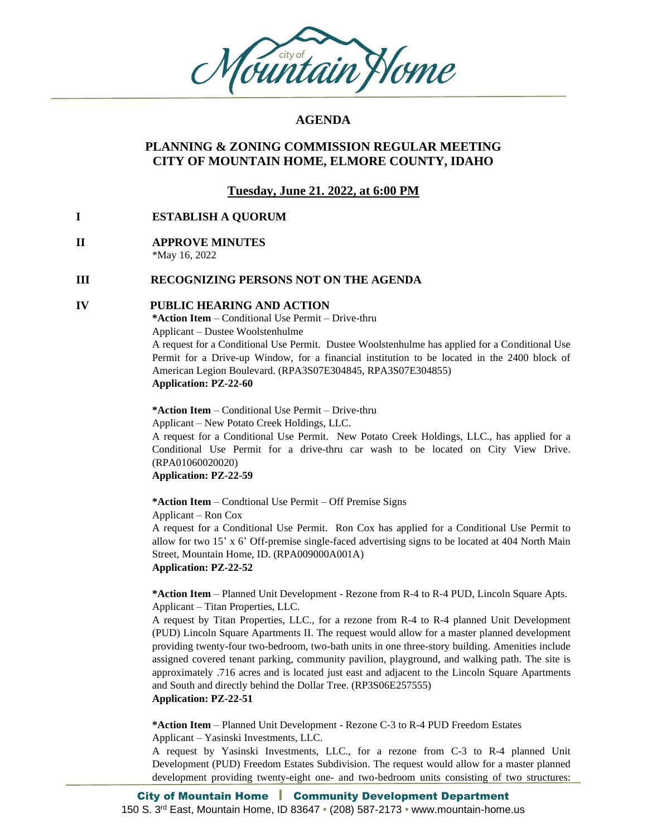

## **AGENDA**

## **PLANNING & ZONING COMMISSION REGULAR MEETING CITY OF MOUNTAIN HOME, ELMORE COUNTY, IDAHO**

## **Tuesday, June 21. 2022, at 6:00 PM**

## **I ESTABLISH A QUORUM**

# **II APPROVE MINUTES**

\*May 16, 2022

## **III RECOGNIZING PERSONS NOT ON THE AGENDA**

#### **IV PUBLIC HEARING AND ACTION**

**\*Action Item** – Conditional Use Permit – Drive-thru Applicant – Dustee Woolstenhulme

A request for a Conditional Use Permit. Dustee Woolstenhulme has applied for a Conditional Use Permit for a Drive-up Window, for a financial institution to be located in the 2400 block of American Legion Boulevard. (RPA3S07E304845, RPA3S07E304855) **Application: PZ-22-60**

**\*Action Item** – Conditional Use Permit – Drive-thru

Applicant – New Potato Creek Holdings, LLC.

A request for a Conditional Use Permit. New Potato Creek Holdings, LLC., has applied for a Conditional Use Permit for a drive-thru car wash to be located on City View Drive. (RPA01060020020)

**Application: PZ-22-59**

**\*Action Item** – Condtional Use Permit – Off Premise Signs Applicant – Ron Cox

A request for a Conditional Use Permit. Ron Cox has applied for a Conditional Use Permit to allow for two 15' x 6' Off-premise single-faced advertising signs to be located at 404 North Main Street, Mountain Home, ID. (RPA009000A001A) **Application: PZ-22-52**

**\*Action Item** – Planned Unit Development - Rezone from R-4 to R-4 PUD, Lincoln Square Apts. Applicant – Titan Properties, LLC.

A request by Titan Properties, LLC., for a rezone from R-4 to R-4 planned Unit Development (PUD) Lincoln Square Apartments II. The request would allow for a master planned development providing twenty-four two-bedroom, two-bath units in one three-story building. Amenities include assigned covered tenant parking, community pavilion, playground, and walking path. The site is approximately .716 acres and is located just east and adjacent to the Lincoln Square Apartments and South and directly behind the Dollar Tree. (RP3S06E257555)

**Application: PZ-22-51**

**\*Action Item** – Planned Unit Development - Rezone C-3 to R-4 PUD Freedom Estates Applicant – Yasinski Investments, LLC.

A request by Yasinski Investments, LLC., for a rezone from C-3 to R-4 planned Unit Development (PUD) Freedom Estates Subdivision. The request would allow for a master planned development providing twenty-eight one- and two-bedroom units consisting of two structures: